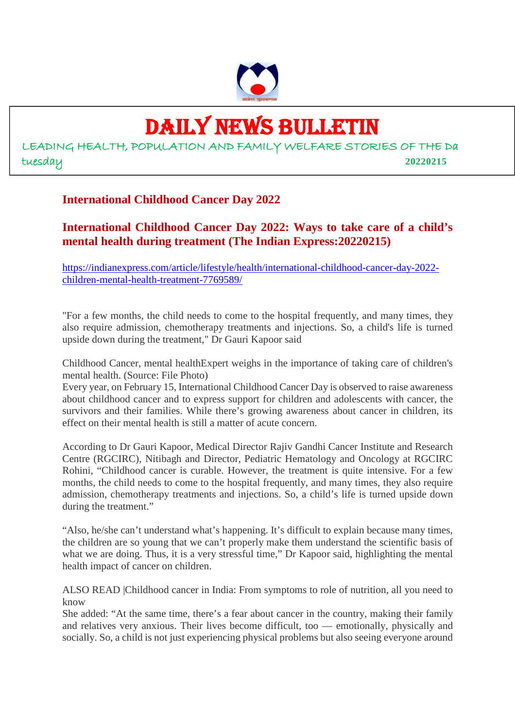

# DAILY NEWS BULLETIN

LEADING HEALTH, POPULATION AND FAMILY WELFARE STORIES OF THE Da tuesday **20220215**

# **International Childhood Cancer Day 2022**

**International Childhood Cancer Day 2022: Ways to take care of a child's mental health during treatment (The Indian Express:20220215)**

https://indianexpress.com/article/lifestyle/health/international-childhood-cancer-day-2022 children-mental-health-treatment-7769589/

"For a few months, the child needs to come to the hospital frequently, and many times, they also require admission, chemotherapy treatments and injections. So, a child's life is turned upside down during the treatment," Dr Gauri Kapoor said

Childhood Cancer, mental healthExpert weighs in the importance of taking care of children's mental health. (Source: File Photo)

Every year, on February 15, International Childhood Cancer Day is observed to raise awareness about childhood cancer and to express support for children and adolescents with cancer, the survivors and their families. While there's growing awareness about cancer in children, its effect on their mental health is still a matter of acute concern.

According to Dr Gauri Kapoor, Medical Director Rajiv Gandhi Cancer Institute and Research Centre (RGCIRC), Nitibagh and Director, Pediatric Hematology and Oncology at RGCIRC Rohini, "Childhood cancer is curable. However, the treatment is quite intensive. For a few months, the child needs to come to the hospital frequently, and many times, they also require admission, chemotherapy treatments and injections. So, a child's life is turned upside down during the treatment."

"Also, he/she can't understand what's happening. It's difficult to explain because many times, the children are so young that we can't properly make them understand the scientific basis of what we are doing. Thus, it is a very stressful time," Dr Kapoor said, highlighting the mental health impact of cancer on children.

ALSO READ |Childhood cancer in India: From symptoms to role of nutrition, all you need to know

She added: "At the same time, there's a fear about cancer in the country, making their family and relatives very anxious. Their lives become difficult, too — emotionally, physically and socially. So, a child is not just experiencing physical problems but also seeing everyone around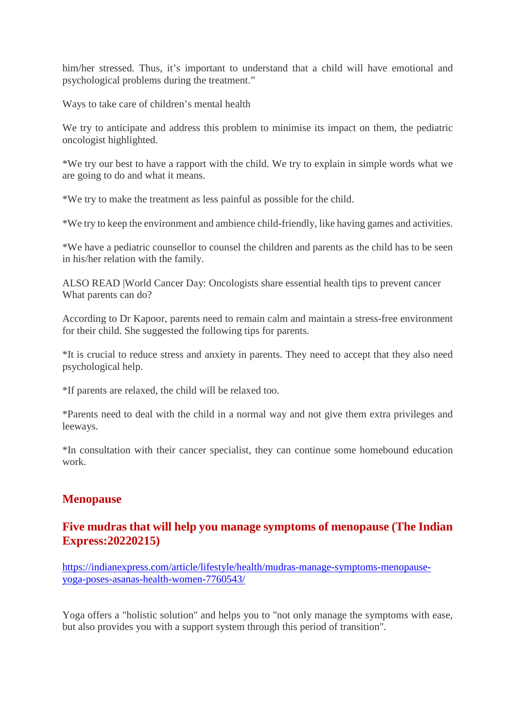him/her stressed. Thus, it's important to understand that a child will have emotional and psychological problems during the treatment."

Ways to take care of children's mental health

We try to anticipate and address this problem to minimise its impact on them, the pediatric oncologist highlighted.

\*We try our best to have a rapport with the child. We try to explain in simple words what we are going to do and what it means.

\*We try to make the treatment as less painful as possible for the child.

\*We try to keep the environment and ambience child-friendly, like having games and activities.

\*We have a pediatric counsellor to counsel the children and parents as the child has to be seen in his/her relation with the family.

ALSO READ |World Cancer Day: Oncologists share essential health tips to prevent cancer What parents can do?

According to Dr Kapoor, parents need to remain calm and maintain a stress-free environment for their child. She suggested the following tips for parents.

\*It is crucial to reduce stress and anxiety in parents. They need to accept that they also need psychological help.

\*If parents are relaxed, the child will be relaxed too.

\*Parents need to deal with the child in a normal way and not give them extra privileges and leeways.

\*In consultation with their cancer specialist, they can continue some homebound education work.

# **Menopause**

# **Five mudras that will help you manage symptoms of menopause (The Indian Express:20220215)**

https://indianexpress.com/article/lifestyle/health/mudras-manage-symptoms-menopauseyoga-poses-asanas-health-women-7760543/

Yoga offers a "holistic solution" and helps you to "not only manage the symptoms with ease, but also provides you with a support system through this period of transition".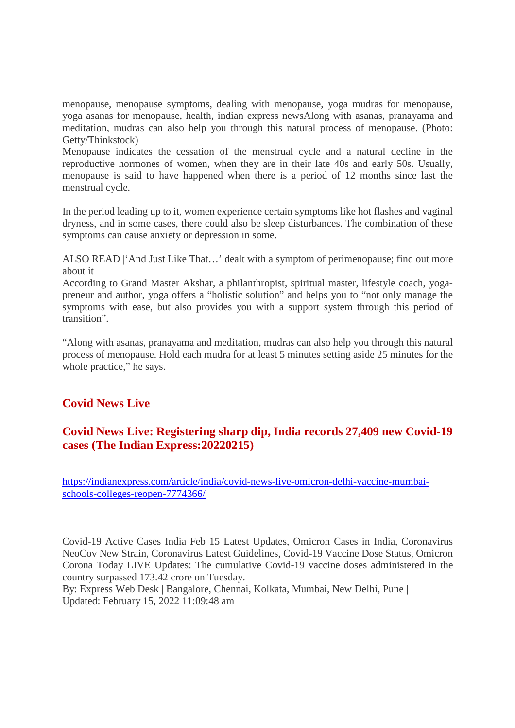menopause, menopause symptoms, dealing with menopause, yoga mudras for menopause, yoga asanas for menopause, health, indian express newsAlong with asanas, pranayama and meditation, mudras can also help you through this natural process of menopause. (Photo: Getty/Thinkstock)

Menopause indicates the cessation of the menstrual cycle and a natural decline in the reproductive hormones of women, when they are in their late 40s and early 50s. Usually, menopause is said to have happened when there is a period of 12 months since last the menstrual cycle.

In the period leading up to it, women experience certain symptoms like hot flashes and vaginal dryness, and in some cases, there could also be sleep disturbances. The combination of these symptoms can cause anxiety or depression in some.

ALSO READ |'And Just Like That…' dealt with a symptom of perimenopause; find out more about it

According to Grand Master Akshar, a philanthropist, spiritual master, lifestyle coach, yogapreneur and author, yoga offers a "holistic solution" and helps you to "not only manage the symptoms with ease, but also provides you with a support system through this period of transition".

"Along with asanas, pranayama and meditation, mudras can also help you through this natural process of menopause. Hold each mudra for at least 5 minutes setting aside 25 minutes for the whole practice," he says.

# **Covid News Live**

# **Covid News Live: Registering sharp dip, India records 27,409 new Covid-19 cases (The Indian Express:20220215)**

https://indianexpress.com/article/india/covid-news-live-omicron-delhi-vaccine-mumbaischools-colleges-reopen-7774366/

Covid-19 Active Cases India Feb 15 Latest Updates, Omicron Cases in India, Coronavirus NeoCov New Strain, Coronavirus Latest Guidelines, Covid-19 Vaccine Dose Status, Omicron Corona Today LIVE Updates: The cumulative Covid-19 vaccine doses administered in the country surpassed 173.42 crore on Tuesday.

By: Express Web Desk | Bangalore, Chennai, Kolkata, Mumbai, New Delhi, Pune | Updated: February 15, 2022 11:09:48 am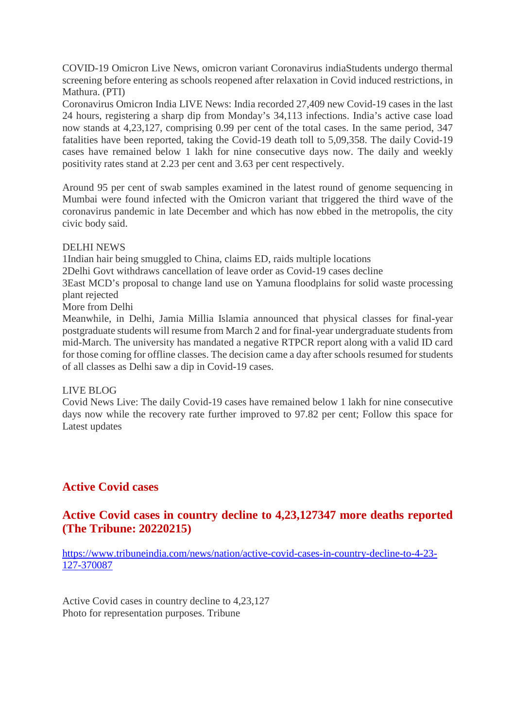COVID-19 Omicron Live News, omicron variant Coronavirus indiaStudents undergo thermal screening before entering as schools reopened after relaxation in Covid induced restrictions, in Mathura. (PTI)

Coronavirus Omicron India LIVE News: India recorded 27,409 new Covid-19 cases in the last 24 hours, registering a sharp dip from Monday's 34,113 infections. India's active case load now stands at 4,23,127, comprising 0.99 per cent of the total cases. In the same period, 347 fatalities have been reported, taking the Covid-19 death toll to 5,09,358. The daily Covid-19 cases have remained below 1 lakh for nine consecutive days now. The daily and weekly positivity rates stand at 2.23 per cent and 3.63 per cent respectively.

Around 95 per cent of swab samples examined in the latest round of genome sequencing in Mumbai were found infected with the Omicron variant that triggered the third wave of the coronavirus pandemic in late December and which has now ebbed in the metropolis, the city civic body said.

#### DELHI NEWS

1Indian hair being smuggled to China, claims ED, raids multiple locations

2Delhi Govt withdraws cancellation of leave order as Covid-19 cases decline

3East MCD's proposal to change land use on Yamuna floodplains for solid waste processing plant rejected

More from Delhi

Meanwhile, in Delhi, Jamia Millia Islamia announced that physical classes for final-year postgraduate students will resume from March 2 and for final-year undergraduate students from mid-March. The university has mandated a negative RTPCR report along with a valid ID card for those coming for offline classes. The decision came a day after schools resumed for students of all classes as Delhi saw a dip in Covid-19 cases.

#### LIVE BLOG

Covid News Live: The daily Covid-19 cases have remained below 1 lakh for nine consecutive days now while the recovery rate further improved to 97.82 per cent; Follow this space for Latest updates

# **Active Covid cases**

# **Active Covid cases in country decline to 4,23,127347 more deaths reported (The Tribune: 20220215)**

https://www.tribuneindia.com/news/nation/active-covid-cases-in-country-decline-to-4-23- 127-370087

Active Covid cases in country decline to 4,23,127 Photo for representation purposes. Tribune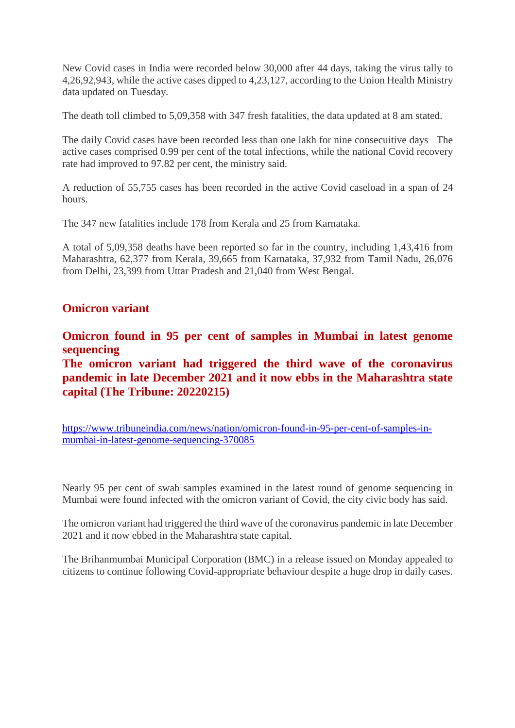New Covid cases in India were recorded below 30,000 after 44 days, taking the virus tally to 4,26,92,943, while the active cases dipped to 4,23,127, according to the Union Health Ministry data updated on Tuesday.

The death toll climbed to 5,09,358 with 347 fresh fatalities, the data updated at 8 am stated.

The daily Covid cases have been recorded less than one lakh for nine consecuitive days The active cases comprised 0.99 per cent of the total infections, while the national Covid recovery rate had improved to 97.82 per cent, the ministry said.

A reduction of 55,755 cases has been recorded in the active Covid caseload in a span of 24 hours.

The 347 new fatalities include 178 from Kerala and 25 from Karnataka.

A total of 5,09,358 deaths have been reported so far in the country, including 1,43,416 from Maharashtra, 62,377 from Kerala, 39,665 from Karnataka, 37,932 from Tamil Nadu, 26,076 from Delhi, 23,399 from Uttar Pradesh and 21,040 from West Bengal.

# **Omicron variant**

**Omicron found in 95 per cent of samples in Mumbai in latest genome sequencing**

**The omicron variant had triggered the third wave of the coronavirus pandemic in late December 2021 and it now ebbs in the Maharashtra state capital (The Tribune: 20220215)**

https://www.tribuneindia.com/news/nation/omicron-found-in-95-per-cent-of-samples-inmumbai-in-latest-genome-sequencing-370085

Nearly 95 per cent of swab samples examined in the latest round of genome sequencing in Mumbai were found infected with the omicron variant of Covid, the city civic body has said.

The omicron variant had triggered the third wave of the coronavirus pandemic in late December 2021 and it now ebbed in the Maharashtra state capital.

The Brihanmumbai Municipal Corporation (BMC) in a release issued on Monday appealed to citizens to continue following Covid-appropriate behaviour despite a huge drop in daily cases.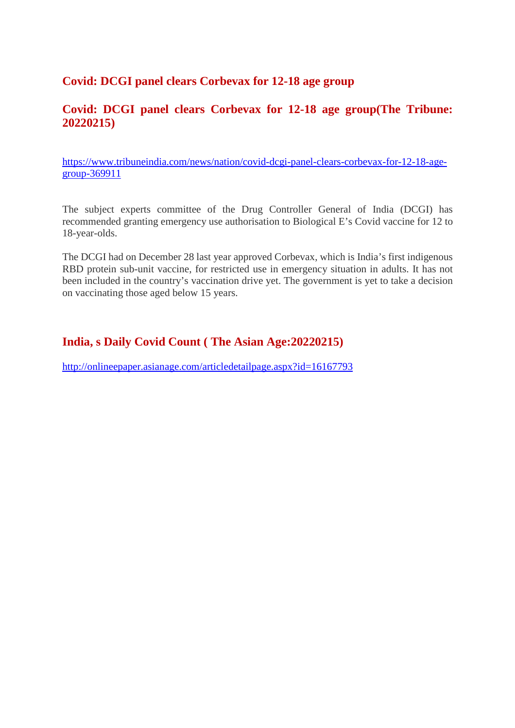# **Covid: DCGI panel clears Corbevax for 12-18 age group**

# **Covid: DCGI panel clears Corbevax for 12-18 age group(The Tribune: 20220215)**

https://www.tribuneindia.com/news/nation/covid-dcgi-panel-clears-corbevax-for-12-18-agegroup-369911

The subject experts committee of the Drug Controller General of India (DCGI) has recommended granting emergency use authorisation to Biological E's Covid vaccine for 12 to 18-year-olds.

The DCGI had on December 28 last year approved Corbevax, which is India's first indigenous RBD protein sub-unit vaccine, for restricted use in emergency situation in adults. It has not been included in the country's vaccination drive yet. The government is yet to take a decision on vaccinating those aged below 15 years.

# **India, s Daily Covid Count ( The Asian Age:20220215)**

http://onlineepaper.asianage.com/articledetailpage.aspx?id=16167793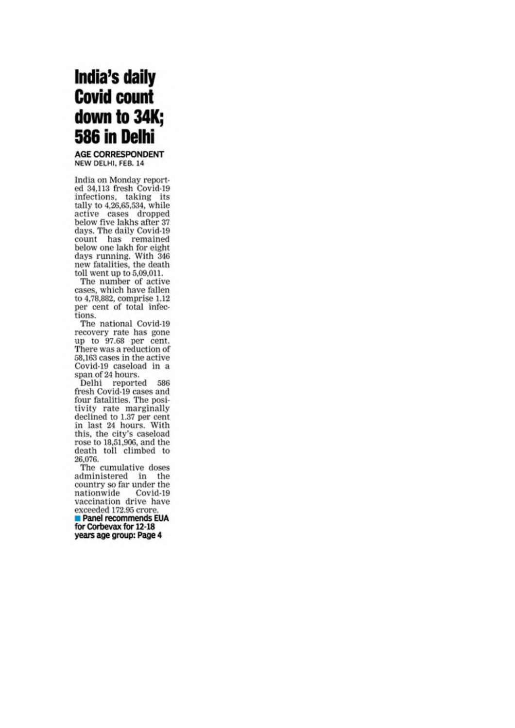# India's daily **Covid count** down to 34K; 586 in Delhi

**AGE CORRESPONDENT** NEW DELHI, FEB. 14

India on Monday reported 34,113 fresh Covid-19 infections, taking its tally to 4,26,65,534, while active cases dropped below five lakhs after 37 days. The daily Covid-19 count has remained<br>below one lakh for eight days running. With 346 new fatalities, the death toll went up to 5,09,011.

The number of active cases, which have fallen to 4,78,882, comprise 1.12 per cent of total infections.

The national Covid-19 recovery rate has gone up to 97.68 per cent. There was a reduction of 58,163 cases in the active Covid-19 caseload in a span of 24 hours.

Delhi reported 586 fresh Covid-19 cases and four fatalities. The positivity rate marginally declined to 1.37 per cent in last 24 hours. With this, the city's caseload rose to 18,51,906, and the death toll climbed to 26,076.

The cumulative doses administered in the country so far under the nationwide Covid-19 vaccination drive have exceeded 172.95 crore.

Panel recommends EUA for Corbevax for 12-18 years age group: Page 4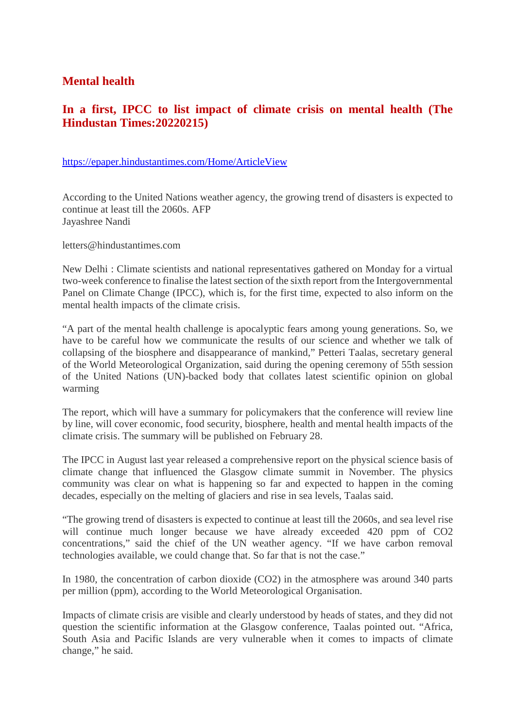# **Mental health**

# **In a first, IPCC to list impact of climate crisis on mental health (The Hindustan Times:20220215)**

#### https://epaper.hindustantimes.com/Home/ArticleView

According to the United Nations weather agency, the growing trend of disasters is expected to continue at least till the 2060s. AFP Jayashree Nandi

letters@hindustantimes.com

New Delhi : Climate scientists and national representatives gathered on Monday for a virtual two-week conference to finalise the latest section of the sixth report from the Intergovernmental Panel on Climate Change (IPCC), which is, for the first time, expected to also inform on the mental health impacts of the climate crisis.

"A part of the mental health challenge is apocalyptic fears among young generations. So, we have to be careful how we communicate the results of our science and whether we talk of collapsing of the biosphere and disappearance of mankind," Petteri Taalas, secretary general of the World Meteorological Organization, said during the opening ceremony of 55th session of the United Nations (UN)-backed body that collates latest scientific opinion on global warming

The report, which will have a summary for policymakers that the conference will review line by line, will cover economic, food security, biosphere, health and mental health impacts of the climate crisis. The summary will be published on February 28.

The IPCC in August last year released a comprehensive report on the physical science basis of climate change that influenced the Glasgow climate summit in November. The physics community was clear on what is happening so far and expected to happen in the coming decades, especially on the melting of glaciers and rise in sea levels, Taalas said.

"The growing trend of disasters is expected to continue at least till the 2060s, and sea level rise will continue much longer because we have already exceeded 420 ppm of CO2 concentrations," said the chief of the UN weather agency. "If we have carbon removal technologies available, we could change that. So far that is not the case."

In 1980, the concentration of carbon dioxide (CO2) in the atmosphere was around 340 parts per million (ppm), according to the World Meteorological Organisation.

Impacts of climate crisis are visible and clearly understood by heads of states, and they did not question the scientific information at the Glasgow conference, Taalas pointed out. "Africa, South Asia and Pacific Islands are very vulnerable when it comes to impacts of climate change," he said.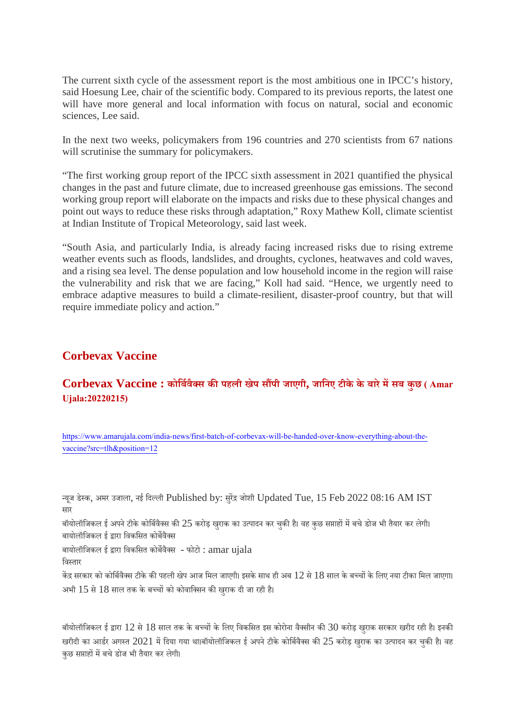The current sixth cycle of the assessment report is the most ambitious one in IPCC's history, said Hoesung Lee, chair of the scientific body. Compared to its previous reports, the latest one will have more general and local information with focus on natural, social and economic sciences, Lee said.

In the next two weeks, policymakers from 196 countries and 270 scientists from 67 nations will scrutinise the summary for policymakers.

"The first working group report of the IPCC sixth assessment in 2021 quantified the physical changes in the past and future climate, due to increased greenhouse gas emissions. The second working group report will elaborate on the impacts and risks due to these physical changes and point out ways to reduce these risks through adaptation," Roxy Mathew Koll, climate scientist at Indian Institute of Tropical Meteorology, said last week.

"South Asia, and particularly India, is already facing increased risks due to rising extreme weather events such as floods, landslides, and droughts, cyclones, heatwaves and cold waves, and a rising sea level. The dense population and low household income in the region will raise the vulnerability and risk that we are facing," Koll had said. "Hence, we urgently need to embrace adaptive measures to build a climate-resilient, disaster-proof country, but that will require immediate policy and action."

# **Corbevax Vaccine**

# **Corbevax Vaccine : कोिबवैस कपहली खेप सपी जाएगी, जािनए टीके के बारेमसब कुछ ( Amar Ujala:20220215)**

https://www.amarujala.com/india-news/first-batch-of-corbevax-will-be-handed-over-know-everything-about-thevaccine?src=tlh&position=12

यजू डेक, अमर उजाला, नई िदली Published by: सरुजोशी Updated Tue, 15 Feb 2022 08:16 AM IST सार

बॉयोलॉजिकल ई अपने टीके कोर्बिवैक्स की  $25$  करोड़ खुराक का उत्पादन कर चुकी है। वह कुछ सप्ताहों में बचे डोज भी तैयार कर लेगी। बायोलॉजिकल ई द्रारा विकसित कोर्बेवैक्स

बायोलॉजिकल ई द्वारा विकसित कोर्बेवैक्स - फोटो :  $\mathrm{ama}\mathrm{r}\ \mathrm{u} \mathrm{i} \mathrm{a} \mathrm{l} \mathrm{a}$ िवतार

केंद्र सरकार को कोर्बिवैक्स टीके की पहली खेप आज मिल जाएगी। इसके साथ ही अब  $12$  से  $18$  साल के बच्चों के लिए नया टीका मिल जाएगा। अभी  $15$  से  $18$  साल तक के बच्चों को कोवाक्सिन की खराक दी जा रही है।

बॉयोलॉजिकल ई द्वारा  $12$  से  $18$  साल तक के बच्चों के लिए विकसित इस कोरोना वैक्सीन की  $30$  करोड़ खुराक सरकार खरीद रही है। इनकी खरीदी का आर्डर अगस्त 2021 में दिया गया था।बॉयोलॉजिकल ई अपने टीके कोर्बिवैक्स की 25 करोड़ खराक का उत्पादन कर चकी है। वह कछ सप्ताहों में बचे डोज भी तैयार कर लेगी।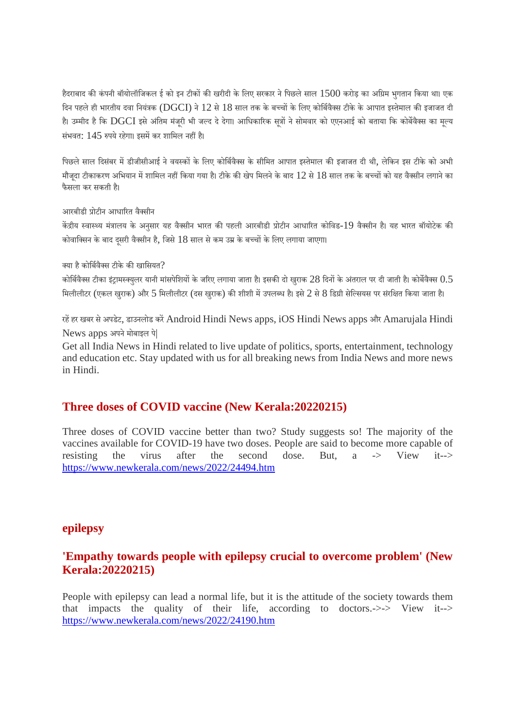हैदराबाद की कंपनी बॉयोलॉजिकल ई को इन टीकों की खरीदी के लिए सरकार ने पिछले साल  $1500$  करोड़ का अग्रिम भगतान किया था। एक दिन पहले ही भारतीय दवा नियंत्रक (DGCI) ने 12 से 18 साल तक के बच्चों के लिए कोर्बिवैक्स टीके के आपात इस्तेमाल की इजाजत दी है। उम्मीद है कि DGCI इसे अंतिम मंजरी भी जल्द दे देगा। आधिकारिक सत्रों ने सोमवार को एएनआई को बताया कि कोर्बेवैक्स का मल्य संभवत: 145 रुपये रहेगा। इसमें कर शामिल नहीं है।

पिछले साल दिसंबर में डीजीसीआई ने वयस्कों के लिए कोर्बिवैक्स के सीमित आपात इस्तेमाल की इजाजत दी थी, लेकिन इस टीके को अभी मौजदा टीकाकरण अभियान में शामिल नहीं किया गया है। टीके की खेप मिलने के बाद  $12$  से  $18$  साल तक के बच्चों को यह वैक्सीन लगाने का फैसला कर सकती ह।ै

आरबीडी ोटीन आधारत वैसीन

केंद्रीय स्वास्थ्य मंत्रालय के अनुसार यह वैक्सीन भारत की पहली आरबीडी प्रोटीन आधारित कोविड-19 वैक्सीन है। यह भारत बॉयोटेक की कोवाक्सिन के बाद दसरी वैक्सीन है, जिसे 18 साल से कम उम्र के बच्चों के लिए लगाया जाएगा।

क्या है कोर्बिवैक्स टीके की खासियत $\, ?$ 

कोर्बिवैक्स टीका इंटामस्क्यलर यानी मांसपेशियों के जरिए लगाया जाता है। इसकी दो खराक 28 दिनों के अंतराल पर दी जाती है। कोर्बेवैक्स  $0.5\,$ मिलीलीटर (एकल खुराक) और 5 मिलीलीटर (दस खुराक) की शीशी में उपलब्ध है। इसे 2 से 8 डिग्री सेल्सियस पर संरक्षित किया जाता है।

रहें हर खबर से अपडेट, डाउनलोड करें Android Hindi News apps, iOS Hindi News apps और Amarujala Hindi News apps अपने मोबाइल पे|

Get all India News in Hindi related to live update of politics, sports, entertainment, technology and education etc. Stay updated with us for all breaking news from India News and more news in Hindi.

#### **Three doses of COVID vaccine (New Kerala:20220215)**

Three doses of COVID vaccine better than two? Study suggests so! The majority of the vaccines available for COVID-19 have two doses. People are said to become more capable of resisting the virus after the second dose. But, a -> View it--> https://www.newkerala.com/news/2022/24494.htm

#### **epilepsy**

# **'Empathy towards people with epilepsy crucial to overcome problem' (New Kerala:20220215)**

People with epilepsy can lead a normal life, but it is the attitude of the society towards them that impacts the quality of their life, according to doctors.->-> View it--> https://www.newkerala.com/news/2022/24190.htm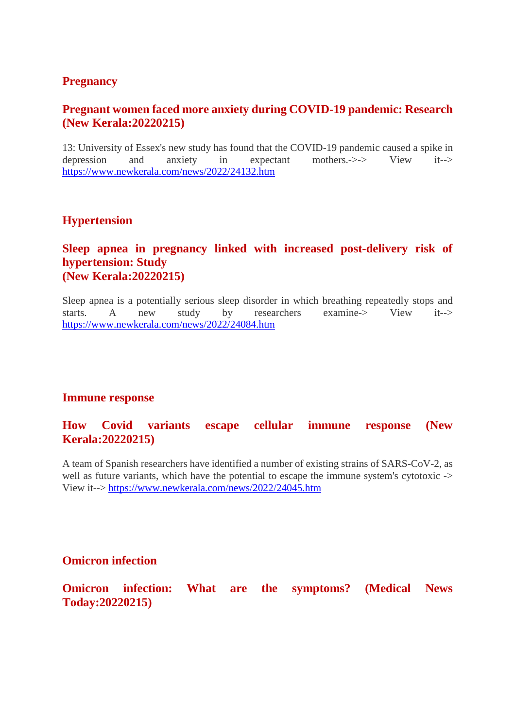# **Pregnancy**

# **Pregnant women faced more anxiety during COVID-19 pandemic: Research (New Kerala:20220215)**

13: University of Essex's new study has found that the COVID-19 pandemic caused a spike in depression and anxiety in expectant mothers.->-> View it--> https://www.newkerala.com/news/2022/24132.htm

# **Hypertension**

# **Sleep apnea in pregnancy linked with increased post-delivery risk of hypertension: Study (New Kerala:20220215)**

Sleep apnea is a potentially serious sleep disorder in which breathing repeatedly stops and starts. A new study by researchers examine-> View it--> https://www.newkerala.com/news/2022/24084.htm

#### **Immune response**

# **How Covid variants escape cellular immune response (New Kerala:20220215)**

A team of Spanish researchers have identified a number of existing strains of SARS-CoV-2, as well as future variants, which have the potential to escape the immune system's cytotoxic -> View it--> https://www.newkerala.com/news/2022/24045.htm

# **Omicron infection**

**Omicron infection: What are the symptoms? (Medical News Today:20220215)**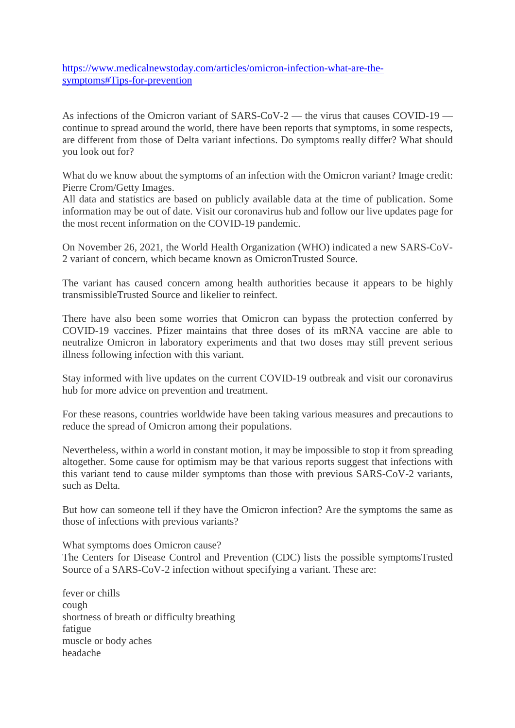https://www.medicalnewstoday.com/articles/omicron-infection-what-are-thesymptoms#Tips-for-prevention

As infections of the Omicron variant of SARS-CoV-2 — the virus that causes COVID-19 continue to spread around the world, there have been reports that symptoms, in some respects, are different from those of Delta variant infections. Do symptoms really differ? What should you look out for?

What do we know about the symptoms of an infection with the Omicron variant? Image credit: Pierre Crom/Getty Images.

All data and statistics are based on publicly available data at the time of publication. Some information may be out of date. Visit our coronavirus hub and follow our live updates page for the most recent information on the COVID-19 pandemic.

On November 26, 2021, the World Health Organization (WHO) indicated a new SARS-CoV-2 variant of concern, which became known as OmicronTrusted Source.

The variant has caused concern among health authorities because it appears to be highly transmissibleTrusted Source and likelier to reinfect.

There have also been some worries that Omicron can bypass the protection conferred by COVID-19 vaccines. Pfizer maintains that three doses of its mRNA vaccine are able to neutralize Omicron in laboratory experiments and that two doses may still prevent serious illness following infection with this variant.

Stay informed with live updates on the current COVID-19 outbreak and visit our coronavirus hub for more advice on prevention and treatment.

For these reasons, countries worldwide have been taking various measures and precautions to reduce the spread of Omicron among their populations.

Nevertheless, within a world in constant motion, it may be impossible to stop it from spreading altogether. Some cause for optimism may be that various reports suggest that infections with this variant tend to cause milder symptoms than those with previous SARS-CoV-2 variants, such as Delta.

But how can someone tell if they have the Omicron infection? Are the symptoms the same as those of infections with previous variants?

What symptoms does Omicron cause?

The Centers for Disease Control and Prevention (CDC) lists the possible symptomsTrusted Source of a SARS-CoV-2 infection without specifying a variant. These are:

fever or chills cough shortness of breath or difficulty breathing fatigue muscle or body aches headache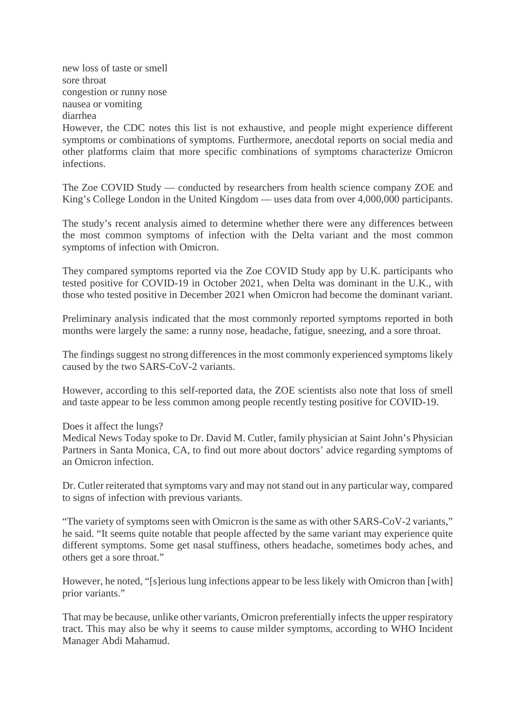new loss of taste or smell sore throat congestion or runny nose nausea or vomiting diarrhea

However, the CDC notes this list is not exhaustive, and people might experience different symptoms or combinations of symptoms. Furthermore, anecdotal reports on social media and other platforms claim that more specific combinations of symptoms characterize Omicron infections.

The Zoe COVID Study — conducted by researchers from health science company ZOE and King's College London in the United Kingdom — uses data from over 4,000,000 participants.

The study's recent analysis aimed to determine whether there were any differences between the most common symptoms of infection with the Delta variant and the most common symptoms of infection with Omicron.

They compared symptoms reported via the Zoe COVID Study app by U.K. participants who tested positive for COVID-19 in October 2021, when Delta was dominant in the U.K., with those who tested positive in December 2021 when Omicron had become the dominant variant.

Preliminary analysis indicated that the most commonly reported symptoms reported in both months were largely the same: a runny nose, headache, fatigue, sneezing, and a sore throat.

The findings suggest no strong differences in the most commonly experienced symptoms likely caused by the two SARS-CoV-2 variants.

However, according to this self-reported data, the ZOE scientists also note that loss of smell and taste appear to be less common among people recently testing positive for COVID-19.

Does it affect the lungs?

Medical News Today spoke to Dr. David M. Cutler, family physician at Saint John's Physician Partners in Santa Monica, CA, to find out more about doctors' advice regarding symptoms of an Omicron infection.

Dr. Cutler reiterated that symptoms vary and may not stand out in any particular way, compared to signs of infection with previous variants.

"The variety of symptoms seen with Omicron is the same as with other SARS-CoV-2 variants," he said. "It seems quite notable that people affected by the same variant may experience quite different symptoms. Some get nasal stuffiness, others headache, sometimes body aches, and others get a sore throat."

However, he noted, "[s]erious lung infections appear to be less likely with Omicron than [with] prior variants."

That may be because, unlike other variants, Omicron preferentially infects the upper respiratory tract. This may also be why it seems to cause milder symptoms, according to WHO Incident Manager Abdi Mahamud.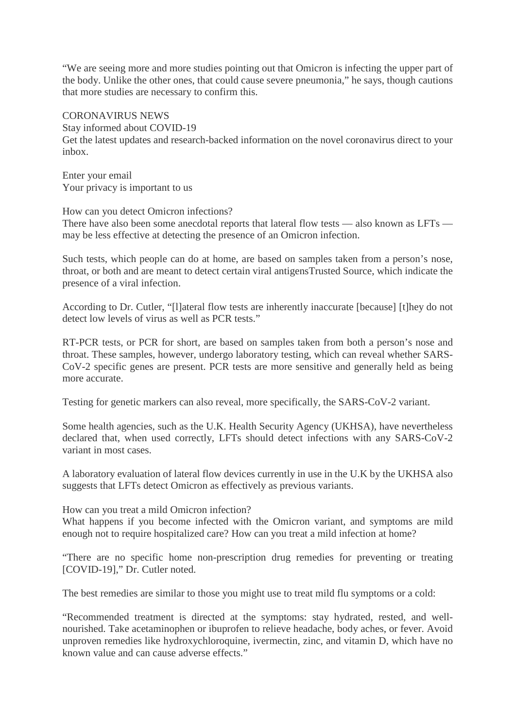"We are seeing more and more studies pointing out that Omicron is infecting the upper part of the body. Unlike the other ones, that could cause severe pneumonia," he says, though cautions that more studies are necessary to confirm this.

#### CORONAVIRUS NEWS

Stay informed about COVID-19

Get the latest updates and research-backed information on the novel coronavirus direct to your inbox.

Enter your email Your privacy is important to us

How can you detect Omicron infections?

There have also been some anecdotal reports that lateral flow tests — also known as LFTs may be less effective at detecting the presence of an Omicron infection.

Such tests, which people can do at home, are based on samples taken from a person's nose, throat, or both and are meant to detect certain viral antigensTrusted Source, which indicate the presence of a viral infection.

According to Dr. Cutler, "[l]ateral flow tests are inherently inaccurate [because] [t]hey do not detect low levels of virus as well as PCR tests."

RT-PCR tests, or PCR for short, are based on samples taken from both a person's nose and throat. These samples, however, undergo laboratory testing, which can reveal whether SARS-CoV-2 specific genes are present. PCR tests are more sensitive and generally held as being more accurate.

Testing for genetic markers can also reveal, more specifically, the SARS-CoV-2 variant.

Some health agencies, such as the U.K. Health Security Agency (UKHSA), have nevertheless declared that, when used correctly, LFTs should detect infections with any SARS-CoV-2 variant in most cases.

A laboratory evaluation of lateral flow devices currently in use in the U.K by the UKHSA also suggests that LFTs detect Omicron as effectively as previous variants.

How can you treat a mild Omicron infection?

What happens if you become infected with the Omicron variant, and symptoms are mild enough not to require hospitalized care? How can you treat a mild infection at home?

"There are no specific home non-prescription drug remedies for preventing or treating [COVID-19]," Dr. Cutler noted.

The best remedies are similar to those you might use to treat mild flu symptoms or a cold:

"Recommended treatment is directed at the symptoms: stay hydrated, rested, and wellnourished. Take acetaminophen or ibuprofen to relieve headache, body aches, or fever. Avoid unproven remedies like hydroxychloroquine, ivermectin, zinc, and vitamin D, which have no known value and can cause adverse effects."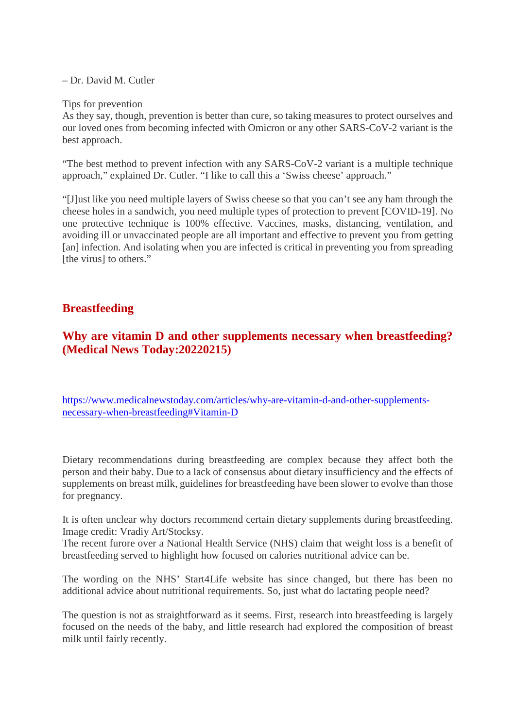– Dr. David M. Cutler

Tips for prevention

As they say, though, prevention is better than cure, so taking measures to protect ourselves and our loved ones from becoming infected with Omicron or any other SARS-CoV-2 variant is the best approach.

"The best method to prevent infection with any SARS-CoV-2 variant is a multiple technique approach," explained Dr. Cutler. "I like to call this a 'Swiss cheese' approach."

"[J]ust like you need multiple layers of Swiss cheese so that you can't see any ham through the cheese holes in a sandwich, you need multiple types of protection to prevent [COVID-19]. No one protective technique is 100% effective. Vaccines, masks, distancing, ventilation, and avoiding ill or unvaccinated people are all important and effective to prevent you from getting [an] infection. And isolating when you are infected is critical in preventing you from spreading [the virus] to others."

# **Breastfeeding**

# **Why are vitamin D and other supplements necessary when breastfeeding? (Medical News Today:20220215)**

https://www.medicalnewstoday.com/articles/why-are-vitamin-d-and-other-supplementsnecessary-when-breastfeeding#Vitamin-D

Dietary recommendations during breastfeeding are complex because they affect both the person and their baby. Due to a lack of consensus about dietary insufficiency and the effects of supplements on breast milk, guidelines for breastfeeding have been slower to evolve than those for pregnancy.

It is often unclear why doctors recommend certain dietary supplements during breastfeeding. Image credit: Vradiy Art/Stocksy.

The recent furore over a National Health Service (NHS) claim that weight loss is a benefit of breastfeeding served to highlight how focused on calories nutritional advice can be.

The wording on the NHS' Start4Life website has since changed, but there has been no additional advice about nutritional requirements. So, just what do lactating people need?

The question is not as straightforward as it seems. First, research into breastfeeding is largely focused on the needs of the baby, and little research had explored the composition of breast milk until fairly recently.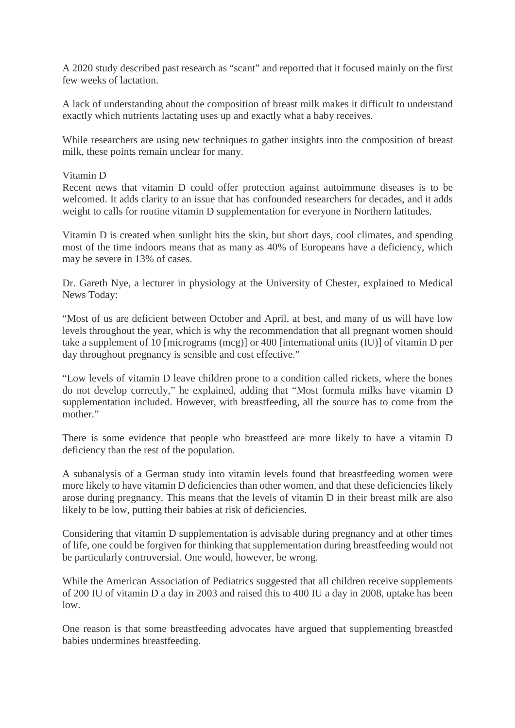A 2020 study described past research as "scant" and reported that it focused mainly on the first few weeks of lactation.

A lack of understanding about the composition of breast milk makes it difficult to understand exactly which nutrients lactating uses up and exactly what a baby receives.

While researchers are using new techniques to gather insights into the composition of breast milk, these points remain unclear for many.

#### Vitamin D

Recent news that vitamin D could offer protection against autoimmune diseases is to be welcomed. It adds clarity to an issue that has confounded researchers for decades, and it adds weight to calls for routine vitamin D supplementation for everyone in Northern latitudes.

Vitamin D is created when sunlight hits the skin, but short days, cool climates, and spending most of the time indoors means that as many as 40% of Europeans have a deficiency, which may be severe in 13% of cases.

Dr. Gareth Nye, a lecturer in physiology at the University of Chester, explained to Medical News Today:

"Most of us are deficient between October and April, at best, and many of us will have low levels throughout the year, which is why the recommendation that all pregnant women should take a supplement of 10 [micrograms (mcg)] or 400 [international units (IU)] of vitamin D per day throughout pregnancy is sensible and cost effective."

"Low levels of vitamin D leave children prone to a condition called rickets, where the bones do not develop correctly," he explained, adding that "Most formula milks have vitamin D supplementation included. However, with breastfeeding, all the source has to come from the mother."

There is some evidence that people who breastfeed are more likely to have a vitamin D deficiency than the rest of the population.

A subanalysis of a German study into vitamin levels found that breastfeeding women were more likely to have vitamin D deficiencies than other women, and that these deficiencies likely arose during pregnancy. This means that the levels of vitamin D in their breast milk are also likely to be low, putting their babies at risk of deficiencies.

Considering that vitamin D supplementation is advisable during pregnancy and at other times of life, one could be forgiven for thinking that supplementation during breastfeeding would not be particularly controversial. One would, however, be wrong.

While the American Association of Pediatrics suggested that all children receive supplements of 200 IU of vitamin D a day in 2003 and raised this to 400 IU a day in 2008, uptake has been low.

One reason is that some breastfeeding advocates have argued that supplementing breastfed babies undermines breastfeeding.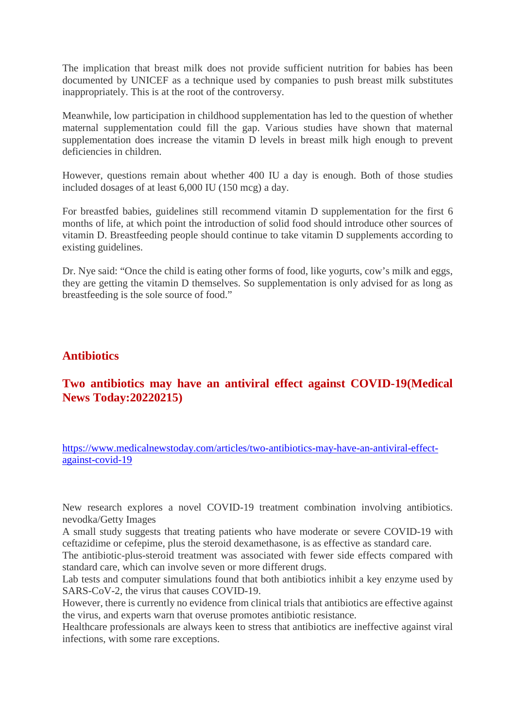The implication that breast milk does not provide sufficient nutrition for babies has been documented by UNICEF as a technique used by companies to push breast milk substitutes inappropriately. This is at the root of the controversy.

Meanwhile, low participation in childhood supplementation has led to the question of whether maternal supplementation could fill the gap. Various studies have shown that maternal supplementation does increase the vitamin D levels in breast milk high enough to prevent deficiencies in children.

However, questions remain about whether 400 IU a day is enough. Both of those studies included dosages of at least 6,000 IU (150 mcg) a day.

For breastfed babies, guidelines still recommend vitamin D supplementation for the first 6 months of life, at which point the introduction of solid food should introduce other sources of vitamin D. Breastfeeding people should continue to take vitamin D supplements according to existing guidelines.

Dr. Nye said: "Once the child is eating other forms of food, like yogurts, cow's milk and eggs, they are getting the vitamin D themselves. So supplementation is only advised for as long as breastfeeding is the sole source of food."

# **Antibiotics**

# **Two antibiotics may have an antiviral effect against COVID-19(Medical News Today:20220215)**

https://www.medicalnewstoday.com/articles/two-antibiotics-may-have-an-antiviral-effectagainst-covid-19

New research explores a novel COVID-19 treatment combination involving antibiotics. nevodka/Getty Images

A small study suggests that treating patients who have moderate or severe COVID-19 with ceftazidime or cefepime, plus the steroid dexamethasone, is as effective as standard care.

The antibiotic-plus-steroid treatment was associated with fewer side effects compared with standard care, which can involve seven or more different drugs.

Lab tests and computer simulations found that both antibiotics inhibit a key enzyme used by SARS-CoV-2, the virus that causes COVID-19.

However, there is currently no evidence from clinical trials that antibiotics are effective against the virus, and experts warn that overuse promotes antibiotic resistance.

Healthcare professionals are always keen to stress that antibiotics are ineffective against viral infections, with some rare exceptions.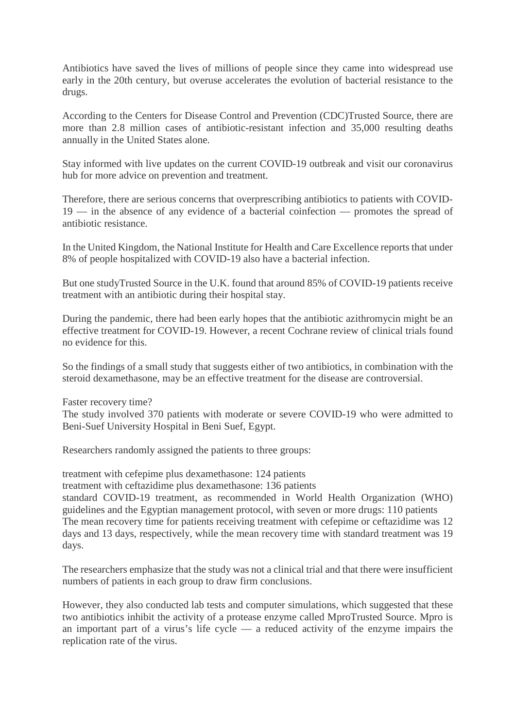Antibiotics have saved the lives of millions of people since they came into widespread use early in the 20th century, but overuse accelerates the evolution of bacterial resistance to the drugs.

According to the Centers for Disease Control and Prevention (CDC)Trusted Source, there are more than 2.8 million cases of antibiotic-resistant infection and 35,000 resulting deaths annually in the United States alone.

Stay informed with live updates on the current COVID-19 outbreak and visit our coronavirus hub for more advice on prevention and treatment.

Therefore, there are serious concerns that overprescribing antibiotics to patients with COVID-19 — in the absence of any evidence of a bacterial coinfection — promotes the spread of antibiotic resistance.

In the United Kingdom, the National Institute for Health and Care Excellence reports that under 8% of people hospitalized with COVID-19 also have a bacterial infection.

But one studyTrusted Source in the U.K. found that around 85% of COVID-19 patients receive treatment with an antibiotic during their hospital stay.

During the pandemic, there had been early hopes that the antibiotic azithromycin might be an effective treatment for COVID-19. However, a recent Cochrane review of clinical trials found no evidence for this.

So the findings of a small study that suggests either of two antibiotics, in combination with the steroid dexamethasone, may be an effective treatment for the disease are controversial.

Faster recovery time?

The study involved 370 patients with moderate or severe COVID-19 who were admitted to Beni-Suef University Hospital in Beni Suef, Egypt.

Researchers randomly assigned the patients to three groups:

treatment with cefepime plus dexamethasone: 124 patients

treatment with ceftazidime plus dexamethasone: 136 patients

standard COVID-19 treatment, as recommended in World Health Organization (WHO) guidelines and the Egyptian management protocol, with seven or more drugs: 110 patients The mean recovery time for patients receiving treatment with cefepime or ceftazidime was 12 days and 13 days, respectively, while the mean recovery time with standard treatment was 19 days.

The researchers emphasize that the study was not a clinical trial and that there were insufficient numbers of patients in each group to draw firm conclusions.

However, they also conducted lab tests and computer simulations, which suggested that these two antibiotics inhibit the activity of a protease enzyme called MproTrusted Source. Mpro is an important part of a virus's life cycle — a reduced activity of the enzyme impairs the replication rate of the virus.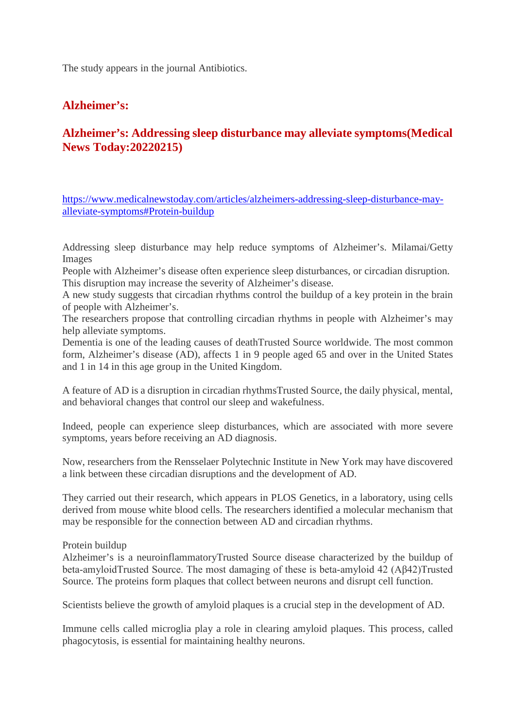The study appears in the journal Antibiotics.

# **Alzheimer's:**

# **Alzheimer's: Addressing sleep disturbance may alleviate symptoms(Medical News Today:20220215)**

https://www.medicalnewstoday.com/articles/alzheimers-addressing-sleep-disturbance-mayalleviate-symptoms#Protein-buildup

Addressing sleep disturbance may help reduce symptoms of Alzheimer's. Milamai/Getty Images

People with Alzheimer's disease often experience sleep disturbances, or circadian disruption. This disruption may increase the severity of Alzheimer's disease.

A new study suggests that circadian rhythms control the buildup of a key protein in the brain of people with Alzheimer's.

The researchers propose that controlling circadian rhythms in people with Alzheimer's may help alleviate symptoms.

Dementia is one of the leading causes of deathTrusted Source worldwide. The most common form, Alzheimer's disease (AD), affects 1 in 9 people aged 65 and over in the United States and 1 in 14 in this age group in the United Kingdom.

A feature of AD is a disruption in circadian rhythmsTrusted Source, the daily physical, mental, and behavioral changes that control our sleep and wakefulness.

Indeed, people can experience sleep disturbances, which are associated with more severe symptoms, years before receiving an AD diagnosis.

Now, researchers from the Rensselaer Polytechnic Institute in New York may have discovered a link between these circadian disruptions and the development of AD.

They carried out their research, which appears in PLOS Genetics, in a laboratory, using cells derived from mouse white blood cells. The researchers identified a molecular mechanism that may be responsible for the connection between AD and circadian rhythms.

Protein buildup

Alzheimer's is a neuroinflammatoryTrusted Source disease characterized by the buildup of beta-amyloidTrusted Source. The most damaging of these is beta-amyloid 42 (Aβ42)Trusted Source. The proteins form plaques that collect between neurons and disrupt cell function.

Scientists believe the growth of amyloid plaques is a crucial step in the development of AD.

Immune cells called microglia play a role in clearing amyloid plaques. This process, called phagocytosis, is essential for maintaining healthy neurons.